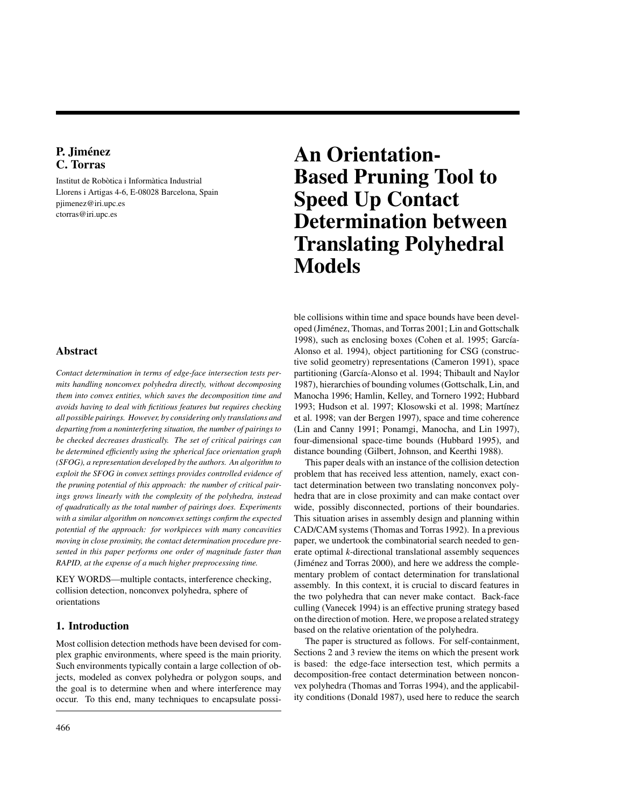# **P. Jiménez C. Torras**

Institut de Robòtica i Informàtica Industrial Llorens i Artigas 4-6, E-08028 Barcelona, Spain pjimenez@iri.upc.es ctorras@iri.upc.es

## **Abstract**

*Contact determination in terms of edge-face intersection tests permits handling nonconvex polyhedra directly, without decomposing them into convex entities, which saves the decomposition time and avoids having to deal with fictitious features but requires checking all possible pairings. However, by considering only translations and departing from a noninterfering situation, the number of pairings to be checked decreases drastically. The set of critical pairings can be determined efficiently using the spherical face orientation graph (SFOG), a representation developed by the authors. An algorithm to exploit the SFOG in convex settings provides controlled evidence of the pruning potential of this approach: the number of critical pairings grows linearly with the complexity of the polyhedra, instead of quadratically as the total number of pairings does. Experiments with a similar algorithm on nonconvex settings confirm the expected potential of the approach: for workpieces with many concavities moving in close proximity, the contact determination procedure presented in this paper performs one order of magnitude faster than RAPID, at the expense of a much higher preprocessing time.*

KEY WORDS—multiple contacts, interference checking, collision detection, nonconvex polyhedra, sphere of orientations

## **1. Introduction**

Most collision detection methods have been devised for complex graphic environments, where speed is the main priority. Such environments typically contain a large collection of objects, modeled as convex polyhedra or polygon soups, and the goal is to determine when and where interference may occur. To this end, many techniques to encapsulate possi-

# **An Orientation-Based Pruning Tool to Speed Up Contact Determination between Translating Polyhedral Models**

ble collisions within time and space bounds have been developed (Jiménez, Thomas, and Torras 2001; Lin and Gottschalk 1998), such as enclosing boxes (Cohen et al. 1995; García-Alonso et al. 1994), object partitioning for CSG (constructive solid geometry) representations (Cameron 1991), space partitioning (García-Alonso et al. 1994; Thibault and Naylor 1987), hierarchies of bounding volumes (Gottschalk, Lin, and Manocha 1996; Hamlin, Kelley, and Tornero 1992; Hubbard 1993; Hudson et al. 1997; Klosowski et al. 1998; Martínez et al. 1998; van der Bergen 1997), space and time coherence (Lin and Canny 1991; Ponamgi, Manocha, and Lin 1997), four-dimensional space-time bounds (Hubbard 1995), and distance bounding (Gilbert, Johnson, and Keerthi 1988).

This paper deals with an instance of the collision detection problem that has received less attention, namely, exact contact determination between two translating nonconvex polyhedra that are in close proximity and can make contact over wide, possibly disconnected, portions of their boundaries. This situation arises in assembly design and planning within CAD/CAM systems (Thomas and Torras 1992). In a previous paper, we undertook the combinatorial search needed to generate optimal *k*-directional translational assembly sequences (Jiménez and Torras 2000), and here we address the complementary problem of contact determination for translational assembly. In this context, it is crucial to discard features in the two polyhedra that can never make contact. Back-face culling (Vanecek 1994) is an effective pruning strategy based on the direction of motion. Here, we propose a related strategy based on the relative orientation of the polyhedra.

The paper is structured as follows. For self-containment, Sections 2 and 3 review the items on which the present work is based: the edge-face intersection test, which permits a decomposition-free contact determination between nonconvex polyhedra (Thomas and Torras 1994), and the applicability conditions (Donald 1987), used here to reduce the search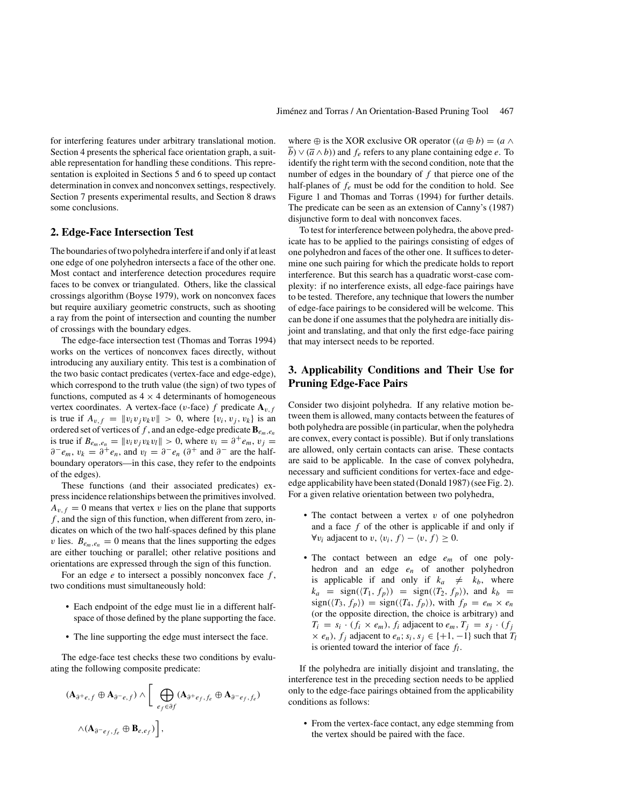for interfering features under arbitrary translational motion. Section 4 presents the spherical face orientation graph, a suitable representation for handling these conditions. This representation is exploited in Sections 5 and 6 to speed up contact determination in convex and nonconvex settings, respectively. Section 7 presents experimental results, and Section 8 draws some conclusions.

## **2. Edge-Face Intersection Test**

The boundaries of two polyhedra interfere if and only if at least one edge of one polyhedron intersects a face of the other one. Most contact and interference detection procedures require faces to be convex or triangulated. Others, like the classical crossings algorithm (Boyse 1979), work on nonconvex faces but require auxiliary geometric constructs, such as shooting a ray from the point of intersection and counting the number of crossings with the boundary edges.

The edge-face intersection test (Thomas and Torras 1994) works on the vertices of nonconvex faces directly, without introducing any auxiliary entity. This test is a combination of the two basic contact predicates (vertex-face and edge-edge), which correspond to the truth value (the sign) of two types of functions, computed as  $4 \times 4$  determinants of homogeneous vertex coordinates. A vertex-face (*v*-face) f predicate  $A_{v,f}$ is true if  $A_{v,f} = ||v_i v_j v_k v|| > 0$ , where  $\{v_i, v_j, v_k\}$  is an ordered set of vertices of f, and an edge-edge predicate  $\mathbf{B}_{e_m,e_n}$ is true if  $B_{e_m,e_n} = ||v_i v_j v_k v_l|| > 0$ , where  $v_i = \partial^+ e_m$ ,  $v_j =$  $∂<sup>-</sup>e<sub>m</sub>, v<sub>k</sub> = ∂<sup>+</sup>e<sub>n</sub>$ , and  $v<sub>l</sub> = ∂<sup>-</sup>e<sub>n</sub> (∂<sup>+</sup> and ∂<sup>-</sup> are the half$ boundary operators—in this case, they refer to the endpoints of the edges).

These functions (and their associated predicates) express incidence relationships between the primitives involved.  $A_{v,f} = 0$  means that vertex v lies on the plane that supports  $f$ , and the sign of this function, when different from zero, indicates on which of the two half-spaces defined by this plane v lies.  $B_{e_m,e_n} = 0$  means that the lines supporting the edges are either touching or parallel; other relative positions and orientations are expressed through the sign of this function.

For an edge  $e$  to intersect a possibly nonconvex face  $f$ , two conditions must simultaneously hold:

- Each endpoint of the edge must lie in a different halfspace of those defined by the plane supporting the face.
- The line supporting the edge must intersect the face.

The edge-face test checks these two conditions by evaluating the following composite predicate:

$$
(\mathbf{A}_{\partial^+ e,f} \oplus \mathbf{A}_{\partial^- e,f}) \wedge \left[ \bigoplus_{e_f \in \partial f} (\mathbf{A}_{\partial^+ e_f,f_e} \oplus \mathbf{A}_{\partial^- e_f,f_e}) \right]
$$
  
 
$$
\wedge (\mathbf{A}_{\partial^- e_f,f_e} \oplus \mathbf{B}_{e,e_f}) \Big],
$$

where  $\oplus$  is the XOR exclusive OR operator  $((a \oplus b) = (a \wedge b)$  $\overline{b}$ )  $\vee$  ( $\overline{a}$   $\wedge$  b)) and  $f_e$  refers to any plane containing edge e. To identify the right term with the second condition, note that the number of edges in the boundary of  $f$  that pierce one of the half-planes of  $f_e$  must be odd for the condition to hold. See Figure 1 and Thomas and Torras (1994) for further details. The predicate can be seen as an extension of Canny's (1987) disjunctive form to deal with nonconvex faces.

To test for interference between polyhedra, the above predicate has to be applied to the pairings consisting of edges of one polyhedron and faces of the other one. It suffices to determine one such pairing for which the predicate holds to report interference. But this search has a quadratic worst-case complexity: if no interference exists, all edge-face pairings have to be tested. Therefore, any technique that lowers the number of edge-face pairings to be considered will be welcome. This can be done if one assumes that the polyhedra are initially disjoint and translating, and that only the first edge-face pairing that may intersect needs to be reported.

# **3. Applicability Conditions and Their Use for Pruning Edge-Face Pairs**

Consider two disjoint polyhedra. If any relative motion between them is allowed, many contacts between the features of both polyhedra are possible (in particular, when the polyhedra are convex, every contact is possible). But if only translations are allowed, only certain contacts can arise. These contacts are said to be applicable. In the case of convex polyhedra, necessary and sufficient conditions for vertex-face and edgeedge applicability have been stated (Donald 1987) (see Fig. 2). For a given relative orientation between two polyhedra,

- The contact between a vertex  $v$  of one polyhedron and a face  $f$  of the other is applicable if and only if  $\forall v_i$  adjacent to  $v, \langle v_i, f \rangle - \langle v, f \rangle \geq 0$ .
- The contact between an edge  $e_m$  of one polyhedron and an edge  $e_n$  of another polyhedron is applicable if and only if  $k_a \neq k_b$ , where  $k_a$  = sign( $\langle T_1, f_p \rangle$ ) = sign( $\langle T_2, f_p \rangle$ ), and  $k_b$  =  $sign(\langle T_3, f_p \rangle) = sign(\langle T_4, f_p \rangle)$ , with  $f_p = e_m \times e_n$ (or the opposite direction, the choice is arbitrary) and  $T_i = s_i \cdot (f_i \times e_m)$ ,  $f_i$  adjacent to  $e_m$ ,  $T_j = s_j \cdot (f_j)$  $\times e_n$ ),  $f_i$  adjacent to  $e_n$ ;  $s_i$ ,  $s_j \in \{+1, -1\}$  such that  $T_l$ is oriented toward the interior of face  $f_l$ .

If the polyhedra are initially disjoint and translating, the interference test in the preceding section needs to be applied only to the edge-face pairings obtained from the applicability conditions as follows:

• From the vertex-face contact, any edge stemming from the vertex should be paired with the face.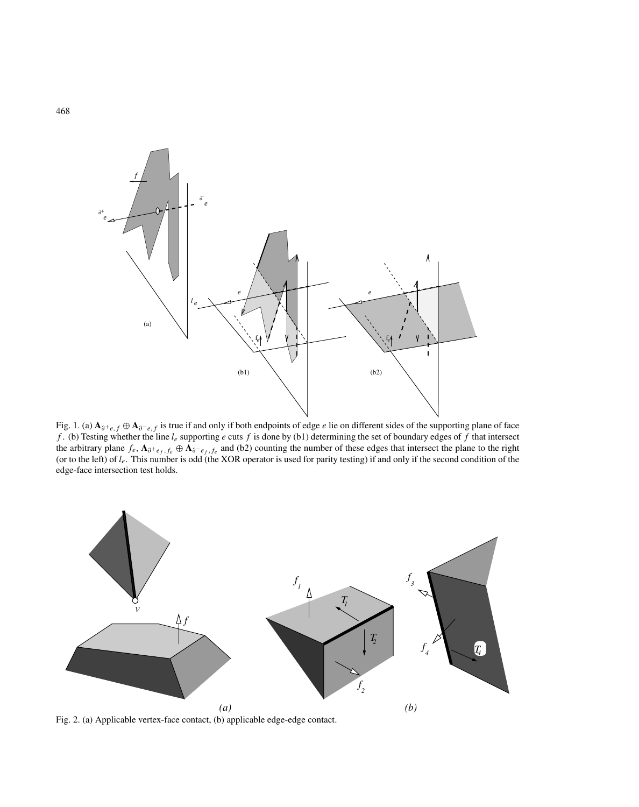



Fig. 1. (a)  $\mathbf{A}_{\partial^+e,f} \oplus \mathbf{A}_{\partial^-e,f}$  is true if and only if both endpoints of edge *e* lie on different sides of the supporting plane of face f. (b) Testing whether the line  $l_e$  supporting e cuts f is done by (b1) determining the set of boundary edges of f that intersect the arbitrary plane  $f_e$ ,  $\mathbf{A}_{\partial^+e_f, f_e}$   $\oplus \mathbf{A}_{\partial^-e_f, f_e}$  and (b2) counting the number of these edges that intersect the plane to the right (or to the left) of  $l_e$ . This number is odd (the XOR operator is used for parity testing) if and only if the second condition of the edge-face intersection test holds.



Fig. 2. (a) Applicable vertex-face contact, (b) applicable edge-edge contact.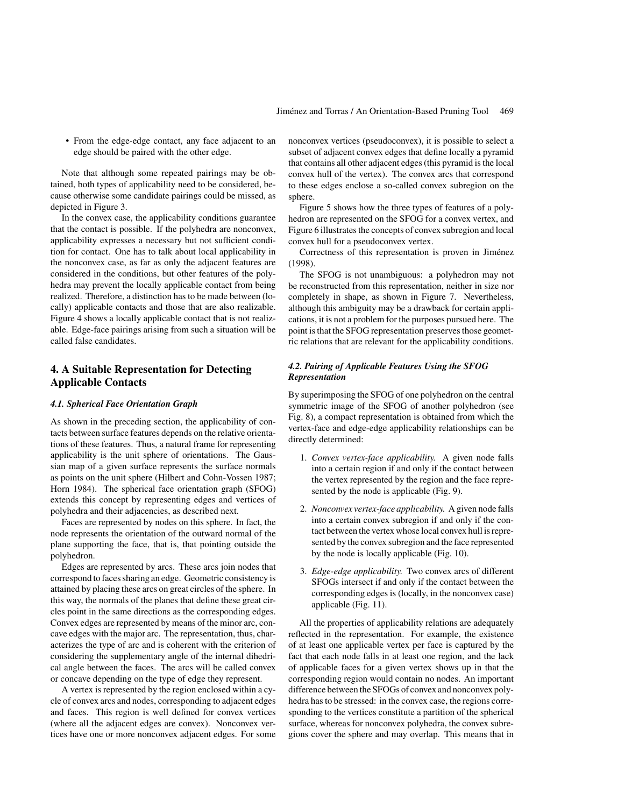• From the edge-edge contact, any face adjacent to an edge should be paired with the other edge.

Note that although some repeated pairings may be obtained, both types of applicability need to be considered, because otherwise some candidate pairings could be missed, as depicted in Figure 3.

In the convex case, the applicability conditions guarantee that the contact is possible. If the polyhedra are nonconvex, applicability expresses a necessary but not sufficient condition for contact. One has to talk about local applicability in the nonconvex case, as far as only the adjacent features are considered in the conditions, but other features of the polyhedra may prevent the locally applicable contact from being realized. Therefore, a distinction has to be made between (locally) applicable contacts and those that are also realizable. Figure 4 shows a locally applicable contact that is not realizable. Edge-face pairings arising from such a situation will be called false candidates.

# **4. A Suitable Representation for Detecting Applicable Contacts**

#### *4.1. Spherical Face Orientation Graph*

As shown in the preceding section, the applicability of contacts between surface features depends on the relative orientations of these features. Thus, a natural frame for representing applicability is the unit sphere of orientations. The Gaussian map of a given surface represents the surface normals as points on the unit sphere (Hilbert and Cohn-Vossen 1987; Horn 1984). The spherical face orientation graph (SFOG) extends this concept by representing edges and vertices of polyhedra and their adjacencies, as described next.

Faces are represented by nodes on this sphere. In fact, the node represents the orientation of the outward normal of the plane supporting the face, that is, that pointing outside the polyhedron.

Edges are represented by arcs. These arcs join nodes that correspond to faces sharing an edge. Geometric consistency is attained by placing these arcs on great circles of the sphere. In this way, the normals of the planes that define these great circles point in the same directions as the corresponding edges. Convex edges are represented by means of the minor arc, concave edges with the major arc. The representation, thus, characterizes the type of arc and is coherent with the criterion of considering the supplementary angle of the internal dihedrical angle between the faces. The arcs will be called convex or concave depending on the type of edge they represent.

A vertex is represented by the region enclosed within a cycle of convex arcs and nodes, corresponding to adjacent edges and faces. This region is well defined for convex vertices (where all the adjacent edges are convex). Nonconvex vertices have one or more nonconvex adjacent edges. For some

nonconvex vertices (pseudoconvex), it is possible to select a subset of adjacent convex edges that define locally a pyramid that contains all other adjacent edges (this pyramid is the local convex hull of the vertex). The convex arcs that correspond to these edges enclose a so-called convex subregion on the sphere.

Figure 5 shows how the three types of features of a polyhedron are represented on the SFOG for a convex vertex, and Figure 6 illustrates the concepts of convex subregion and local convex hull for a pseudoconvex vertex.

Correctness of this representation is proven in Jiménez (1998).

The SFOG is not unambiguous: a polyhedron may not be reconstructed from this representation, neither in size nor completely in shape, as shown in Figure 7. Nevertheless, although this ambiguity may be a drawback for certain applications, it is not a problem for the purposes pursued here. The point is that the SFOG representation preserves those geometric relations that are relevant for the applicability conditions.

## *4.2. Pairing of Applicable Features Using the SFOG Representation*

By superimposing the SFOG of one polyhedron on the central symmetric image of the SFOG of another polyhedron (see Fig. 8), a compact representation is obtained from which the vertex-face and edge-edge applicability relationships can be directly determined:

- 1. *Convex vertex-face applicability.* A given node falls into a certain region if and only if the contact between the vertex represented by the region and the face represented by the node is applicable (Fig. 9).
- 2. *Nonconvex vertex-face applicability.* A given node falls into a certain convex subregion if and only if the contact between the vertex whose local convex hull is represented by the convex subregion and the face represented by the node is locally applicable (Fig. 10).
- 3. *Edge-edge applicability.* Two convex arcs of different SFOGs intersect if and only if the contact between the corresponding edges is (locally, in the nonconvex case) applicable (Fig. 11).

All the properties of applicability relations are adequately reflected in the representation. For example, the existence of at least one applicable vertex per face is captured by the fact that each node falls in at least one region, and the lack of applicable faces for a given vertex shows up in that the corresponding region would contain no nodes. An important difference between the SFOGs of convex and nonconvex polyhedra has to be stressed: in the convex case, the regions corresponding to the vertices constitute a partition of the spherical surface, whereas for nonconvex polyhedra, the convex subregions cover the sphere and may overlap. This means that in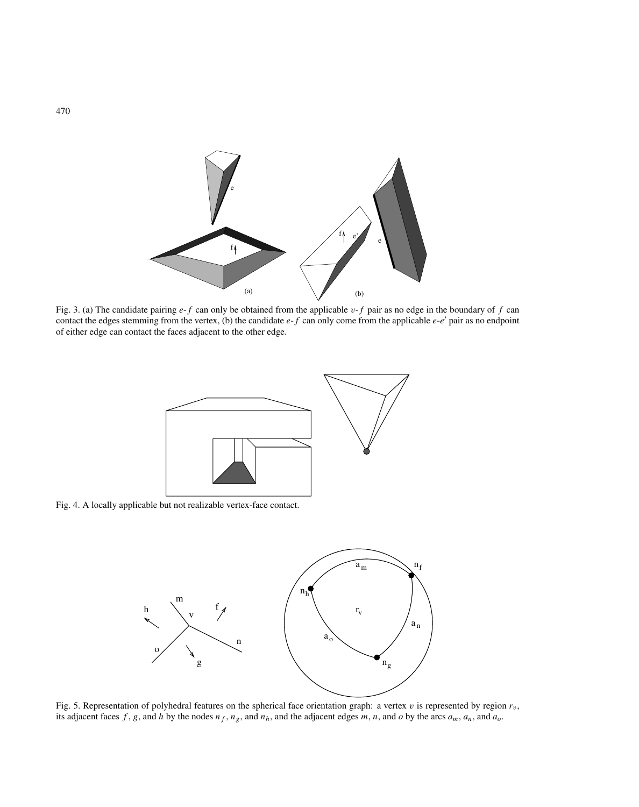

Fig. 3. (a) The candidate pairing  $e-f$  can only be obtained from the applicable  $v-f$  pair as no edge in the boundary of f can contact the edges stemming from the vertex, (b) the candidate  $e$ - $f$  can only come from the applicable  $e$ - $e'$  pair as no endpoint of either edge can contact the faces adjacent to the other edge.



Fig. 4. A locally applicable but not realizable vertex-face contact.



Fig. 5. Representation of polyhedral features on the spherical face orientation graph: a vertex  $v$  is represented by region  $r_v$ , its adjacent faces f, g, and h by the nodes  $n_f$ ,  $n_g$ , and  $n_h$ , and the adjacent edges m, n, and o by the arcs  $a_m$ ,  $a_n$ , and  $a_o$ .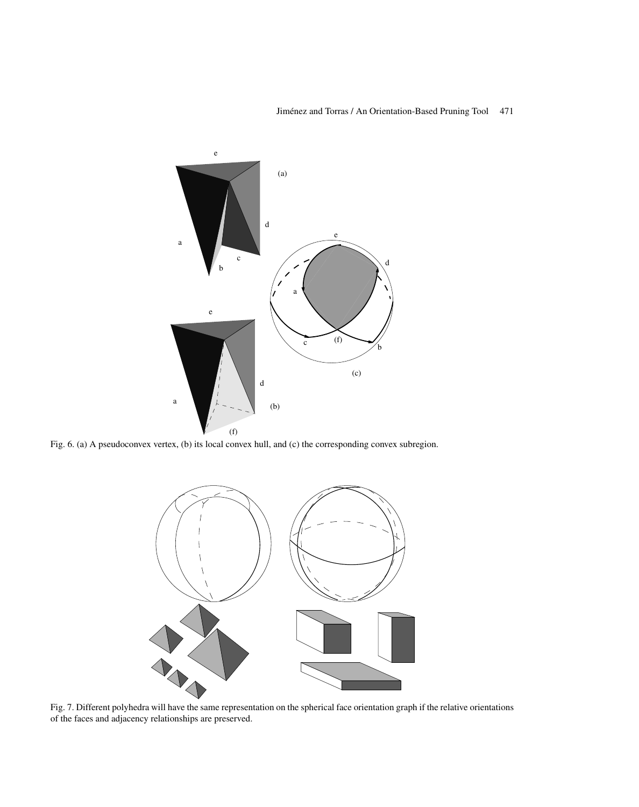

Fig. 6. (a) A pseudoconvex vertex, (b) its local convex hull, and (c) the corresponding convex subregion.



Fig. 7. Different polyhedra will have the same representation on the spherical face orientation graph if the relative orientations of the faces and adjacency relationships are preserved.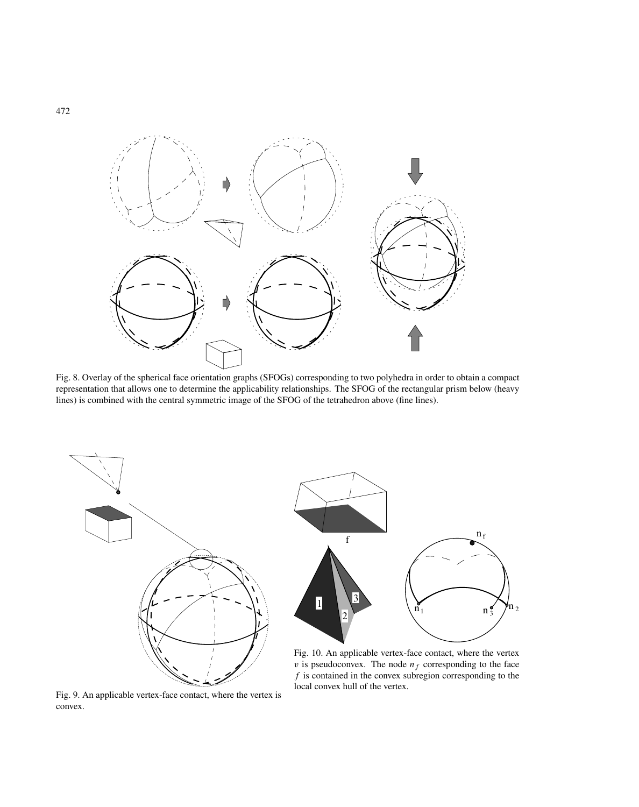

Fig. 8. Overlay of the spherical face orientation graphs (SFOGs) corresponding to two polyhedra in order to obtain a compact representation that allows one to determine the applicability relationships. The SFOG of the rectangular prism below (heavy lines) is combined with the central symmetric image of the SFOG of the tetrahedron above (fine lines).



f and  $\sum_{n=1}^{\infty}$  $n_1 \qquad n_3 \qquad n_1$ 1 2 3  $\mathbf{n}_\text{f}$  $n_3^{\bullet}$  2  $n_2$ 

Fig. 10. An applicable vertex-face contact, where the vertex v is pseudoconvex. The node  $n_f$  corresponding to the face  $f$  is contained in the convex subregion corresponding to the local convex hull of the vertex.

Fig. 9. An applicable vertex-face contact, where the vertex is convex.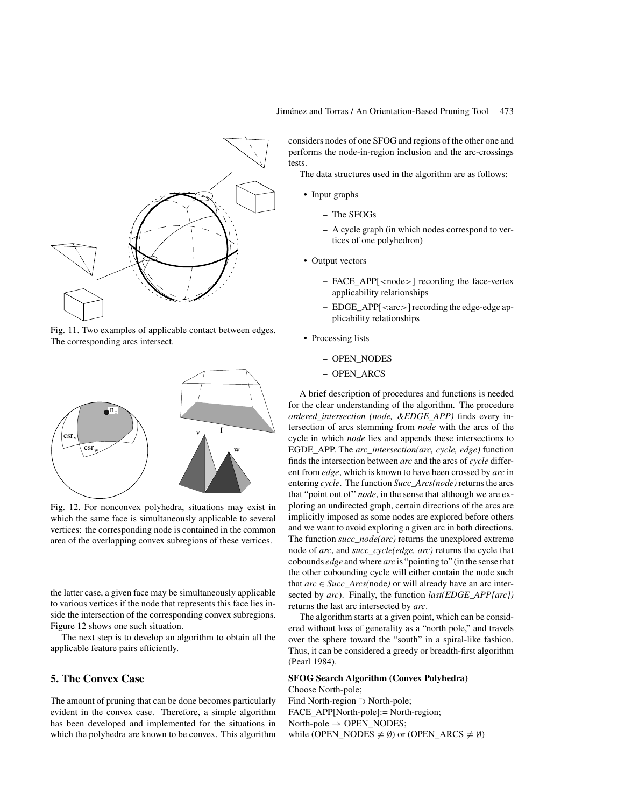

Fig. 11. Two examples of applicable contact between edges. The corresponding arcs intersect.



Fig. 12. For nonconvex polyhedra, situations may exist in which the same face is simultaneously applicable to several vertices: the corresponding node is contained in the common area of the overlapping convex subregions of these vertices.

the latter case, a given face may be simultaneously applicable to various vertices if the node that represents this face lies inside the intersection of the corresponding convex subregions. Figure 12 shows one such situation.

The next step is to develop an algorithm to obtain all the applicable feature pairs efficiently.

## **5. The Convex Case**

The amount of pruning that can be done becomes particularly evident in the convex case. Therefore, a simple algorithm has been developed and implemented for the situations in which the polyhedra are known to be convex. This algorithm considers nodes of one SFOG and regions of the other one and performs the node-in-region inclusion and the arc-crossings tests.

The data structures used in the algorithm are as follows:

- Input graphs
	- **–** The SFOGs
	- **–** A cycle graph (in which nodes correspond to vertices of one polyhedron)
- Output vectors
	- **–** FACE\_APP[<node>] recording the face-vertex applicability relationships
	- **–** EDGE\_APP[<arc>] recording the edge-edge applicability relationships
- Processing lists
	- **–** OPEN\_NODES
	- **–** OPEN\_ARCS

A brief description of procedures and functions is needed for the clear understanding of the algorithm. The procedure *ordered\_intersection (node, &EDGE\_APP)* finds every intersection of arcs stemming from *node* with the arcs of the cycle in which *node* lies and appends these intersections to EGDE\_APP. The *arc\_intersection(arc, cycle, edge)* function finds the intersection between *arc* and the arcs of *cycle* different from *edge*, which is known to have been crossed by *arc* in entering *cycle*. The function *Succ\_Arcs(node)* returns the arcs that "point out of" *node*, in the sense that although we are exploring an undirected graph, certain directions of the arcs are implicitly imposed as some nodes are explored before others and we want to avoid exploring a given arc in both directions. The function *succ\_node(arc)* returns the unexplored extreme node of *arc*, and *succ\_cycle(edge, arc)* returns the cycle that cobounds *edge* and where *arc* is "pointing to" (in the sense that the other cobounding cycle will either contain the node such that  $arc \in Succ\_Arcs(node)$  or will already have an arc intersected by *arc*). Finally, the function *last(EDGE\_APP[arc])* returns the last arc intersected by *arc*.

The algorithm starts at a given point, which can be considered without loss of generality as a "north pole," and travels over the sphere toward the "south" in a spiral-like fashion. Thus, it can be considered a greedy or breadth-first algorithm (Pearl 1984).

### **SFOG Search Algorithm (Convex Polyhedra)**

Choose North-pole; Find North-region ⊃ North-pole; FACE\_APP[North-pole]:= North-region; North-pole  $\rightarrow$  OPEN\_NODES; while (OPEN\_NODES  $\neq \emptyset$ ) or (OPEN\_ARCS  $\neq \emptyset$ )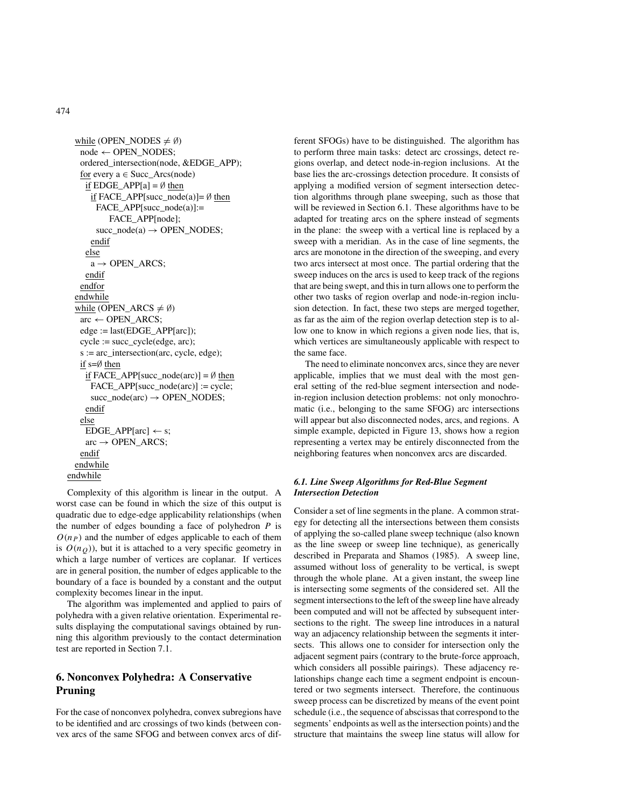while (OPEN\_NODES  $\neq \emptyset$ ) node ← OPEN\_NODES; ordered\_intersection(node, &EDGE\_APP); for every  $a \in Succ\_Arcs(node)$ if  $EDGE_APP[a] = \emptyset$  then if FACE APP[succ\_node(a)]=  $\emptyset$  then FACE APP[succ\_node(a)]:= FACE\_APP[node];  $succ\_node(a) \rightarrow$  OPEN\_NODES; endif else  $a \rightarrow$  OPEN\_ARCS; endif endfor endwhile while (OPEN\_ARCS  $\neq \emptyset$ ) arc ← OPEN\_ARCS;  $edge :=$  last(EDGE\_APP[arc]); cycle := succ\_cycle(edge, arc); s := arc\_intersection(arc, cycle, edge); if s=∅ then if FACE\_APP[succ\_node(arc)] =  $\emptyset$  then FACE\_APP[succ\_node(arc)] := cycle;  $succ\_node(arc) \rightarrow$  OPEN\_NODES; endif else  $EDGE_APP[arc] \leftarrow s;$  $arc \rightarrow$  OPEN\_ARCS; endif endwhile endwhile

Complexity of this algorithm is linear in the output. A worst case can be found in which the size of this output is quadratic due to edge-edge applicability relationships (when the number of edges bounding a face of polyhedron  $P$  is  $O(n_P)$  and the number of edges applicable to each of them is  $O(n<sub>O</sub>)$ , but it is attached to a very specific geometry in which a large number of vertices are coplanar. If vertices are in general position, the number of edges applicable to the boundary of a face is bounded by a constant and the output complexity becomes linear in the input.

The algorithm was implemented and applied to pairs of polyhedra with a given relative orientation. Experimental results displaying the computational savings obtained by running this algorithm previously to the contact determination test are reported in Section 7.1.

# **6. Nonconvex Polyhedra: A Conservative Pruning**

For the case of nonconvex polyhedra, convex subregions have to be identified and arc crossings of two kinds (between convex arcs of the same SFOG and between convex arcs of different SFOGs) have to be distinguished. The algorithm has to perform three main tasks: detect arc crossings, detect regions overlap, and detect node-in-region inclusions. At the base lies the arc-crossings detection procedure. It consists of applying a modified version of segment intersection detection algorithms through plane sweeping, such as those that will be reviewed in Section 6.1. These algorithms have to be adapted for treating arcs on the sphere instead of segments in the plane: the sweep with a vertical line is replaced by a sweep with a meridian. As in the case of line segments, the arcs are monotone in the direction of the sweeping, and every two arcs intersect at most once. The partial ordering that the sweep induces on the arcs is used to keep track of the regions that are being swept, and this in turn allows one to perform the other two tasks of region overlap and node-in-region inclusion detection. In fact, these two steps are merged together, as far as the aim of the region overlap detection step is to allow one to know in which regions a given node lies, that is, which vertices are simultaneously applicable with respect to the same face.

The need to eliminate nonconvex arcs, since they are never applicable, implies that we must deal with the most general setting of the red-blue segment intersection and nodein-region inclusion detection problems: not only monochromatic (i.e., belonging to the same SFOG) arc intersections will appear but also disconnected nodes, arcs, and regions. A simple example, depicted in Figure 13, shows how a region representing a vertex may be entirely disconnected from the neighboring features when nonconvex arcs are discarded.

## *6.1. Line Sweep Algorithms for Red-Blue Segment Intersection Detection*

Consider a set of line segments in the plane. A common strategy for detecting all the intersections between them consists of applying the so-called plane sweep technique (also known as the line sweep or sweep line technique), as generically described in Preparata and Shamos (1985). A sweep line, assumed without loss of generality to be vertical, is swept through the whole plane. At a given instant, the sweep line is intersecting some segments of the considered set. All the segment intersections to the left of the sweep line have already been computed and will not be affected by subsequent intersections to the right. The sweep line introduces in a natural way an adjacency relationship between the segments it intersects. This allows one to consider for intersection only the adjacent segment pairs (contrary to the brute-force approach, which considers all possible pairings). These adjacency relationships change each time a segment endpoint is encountered or two segments intersect. Therefore, the continuous sweep process can be discretized by means of the event point schedule (i.e., the sequence of abscissas that correspond to the segments' endpoints as well as the intersection points) and the structure that maintains the sweep line status will allow for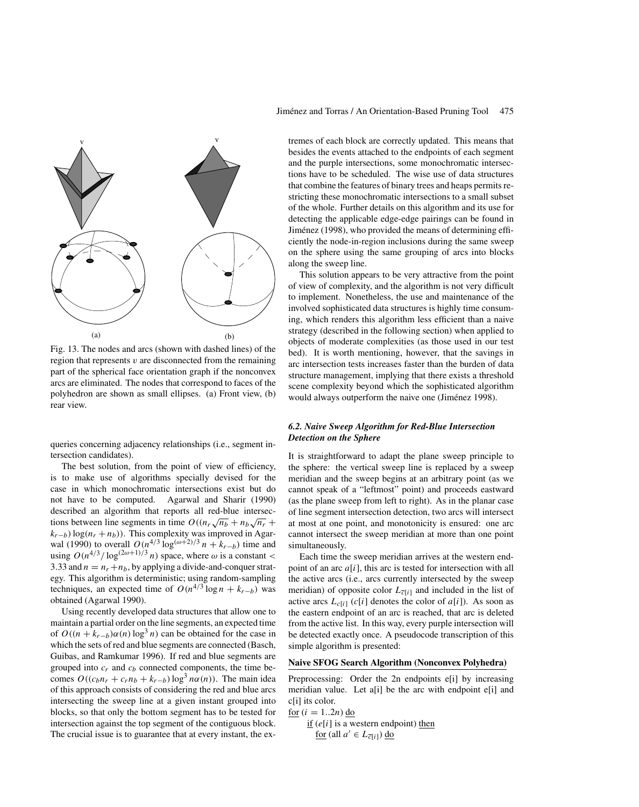

Fig. 13. The nodes and arcs (shown with dashed lines) of the region that represents  $v$  are disconnected from the remaining part of the spherical face orientation graph if the nonconvex arcs are eliminated. The nodes that correspond to faces of the polyhedron are shown as small ellipses. (a) Front view, (b) rear view.

queries concerning adjacency relationships (i.e., segment intersection candidates).

The best solution, from the point of view of efficiency, is to make use of algorithms specially devised for the case in which monochromatic intersections exist but do not have to be computed. Agarwal and Sharir (1990) described an algorithm that reports all red-blue intersections between line segments in time  $O((n_r\sqrt{n_b} + n_b\sqrt{n_r} + n_b\sqrt{n_r}))$  $(k_{r-b})\log(n_r + n_b)$ ). This complexity was improved in Agarwal (1990) to overall  $O(n^{4/3} \log^{(\omega+2)/3} n + k_{r-b})$  time and using  $O(n^{4/3}/\log^{(2\omega+1)/3} n)$  space, where  $\omega$  is a constant < 3.33 and  $n = n_r + n_b$ , by applying a divide-and-conquer strategy. This algorithm is deterministic; using random-sampling techniques, an expected time of  $O(n^{4/3} \log n + k_{r-b})$  was obtained (Agarwal 1990).

Using recently developed data structures that allow one to maintain a partial order on the line segments, an expected time of  $O((n + k_{r-h})\alpha(n)\log^3 n)$  can be obtained for the case in which the sets of red and blue segments are connected (Basch, Guibas, and Ramkumar 1996). If red and blue segments are grouped into  $c_r$  and  $c_b$  connected components, the time becomes  $O((c_b n_r + c_r n_b + k_{r-b}) \log^3 n\alpha(n))$ . The main idea of this approach consists of considering the red and blue arcs intersecting the sweep line at a given instant grouped into blocks, so that only the bottom segment has to be tested for intersection against the top segment of the contiguous block. The crucial issue is to guarantee that at every instant, the extremes of each block are correctly updated. This means that besides the events attached to the endpoints of each segment and the purple intersections, some monochromatic intersections have to be scheduled. The wise use of data structures that combine the features of binary trees and heaps permits restricting these monochromatic intersections to a small subset of the whole. Further details on this algorithm and its use for detecting the applicable edge-edge pairings can be found in Jiménez (1998), who provided the means of determining efficiently the node-in-region inclusions during the same sweep on the sphere using the same grouping of arcs into blocks along the sweep line.

This solution appears to be very attractive from the point of view of complexity, and the algorithm is not very difficult to implement. Nonetheless, the use and maintenance of the involved sophisticated data structures is highly time consuming, which renders this algorithm less efficient than a naive strategy (described in the following section) when applied to objects of moderate complexities (as those used in our test bed). It is worth mentioning, however, that the savings in arc intersection tests increases faster than the burden of data structure management, implying that there exists a threshold scene complexity beyond which the sophisticated algorithm would always outperform the naive one (Jiménez 1998).

## *6.2. Naive Sweep Algorithm for Red-Blue Intersection Detection on the Sphere*

It is straightforward to adapt the plane sweep principle to the sphere: the vertical sweep line is replaced by a sweep meridian and the sweep begins at an arbitrary point (as we cannot speak of a "leftmost" point) and proceeds eastward (as the plane sweep from left to right). As in the planar case of line segment intersection detection, two arcs will intersect at most at one point, and monotonicity is ensured: one arc cannot intersect the sweep meridian at more than one point simultaneously.

Each time the sweep meridian arrives at the western endpoint of an arc  $a[i]$ , this arc is tested for intersection with all the active arcs (i.e., arcs currently intersected by the sweep meridian) of opposite color  $L_{\overline{c}[i]}$  and included in the list of active arcs  $L_{c[i]}$  (c[i] denotes the color of a[i]). As soon as the eastern endpoint of an arc is reached, that arc is deleted from the active list. In this way, every purple intersection will be detected exactly once. A pseudocode transcription of this simple algorithm is presented:

## **Naive SFOG Search Algorithm (Nonconvex Polyhedra)**

Preprocessing: Order the 2n endpoints e[i] by increasing meridian value. Let a[i] be the arc with endpoint e[i] and c[i] its color.

for  $(i = 1..2n)$  do if  $(e[i]$  is a western endpoint) then <u>for</u> (all  $a' \in L_{\overline{c}[i]})$  <u>do</u>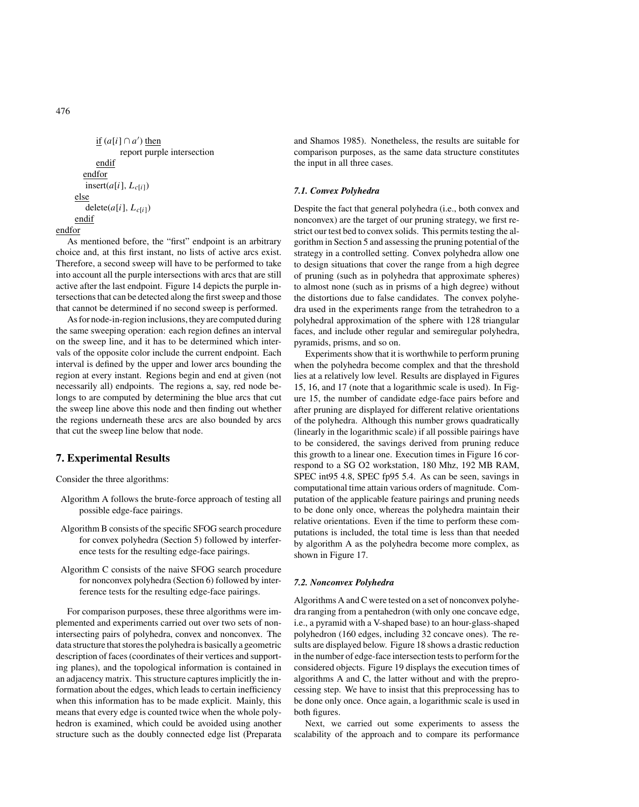```
<u>if</u> (a[i] ∩ a') then
            report purple intersection
    endif
endfor
 insert(a[i], L_{c[i]})else
 delete(a[i], L_{c[i]})
```

```
endfor
```
endif

As mentioned before, the "first" endpoint is an arbitrary choice and, at this first instant, no lists of active arcs exist. Therefore, a second sweep will have to be performed to take into account all the purple intersections with arcs that are still active after the last endpoint. Figure 14 depicts the purple intersections that can be detected along the first sweep and those that cannot be determined if no second sweep is performed.

As for node-in-region inclusions, they are computed during the same sweeping operation: each region defines an interval on the sweep line, and it has to be determined which intervals of the opposite color include the current endpoint. Each interval is defined by the upper and lower arcs bounding the region at every instant. Regions begin and end at given (not necessarily all) endpoints. The regions a, say, red node belongs to are computed by determining the blue arcs that cut the sweep line above this node and then finding out whether the regions underneath these arcs are also bounded by arcs that cut the sweep line below that node.

## **7. Experimental Results**

Consider the three algorithms:

- Algorithm A follows the brute-force approach of testing all possible edge-face pairings.
- Algorithm B consists of the specific SFOG search procedure for convex polyhedra (Section 5) followed by interference tests for the resulting edge-face pairings.
- Algorithm C consists of the naive SFOG search procedure for nonconvex polyhedra (Section 6) followed by interference tests for the resulting edge-face pairings.

For comparison purposes, these three algorithms were implemented and experiments carried out over two sets of nonintersecting pairs of polyhedra, convex and nonconvex. The data structure that stores the polyhedra is basically a geometric description of faces (coordinates of their vertices and supporting planes), and the topological information is contained in an adjacency matrix. This structure captures implicitly the information about the edges, which leads to certain inefficiency when this information has to be made explicit. Mainly, this means that every edge is counted twice when the whole polyhedron is examined, which could be avoided using another structure such as the doubly connected edge list (Preparata and Shamos 1985). Nonetheless, the results are suitable for comparison purposes, as the same data structure constitutes the input in all three cases.

#### *7.1. Convex Polyhedra*

Despite the fact that general polyhedra (i.e., both convex and nonconvex) are the target of our pruning strategy, we first restrict our test bed to convex solids. This permits testing the algorithm in Section 5 and assessing the pruning potential of the strategy in a controlled setting. Convex polyhedra allow one to design situations that cover the range from a high degree of pruning (such as in polyhedra that approximate spheres) to almost none (such as in prisms of a high degree) without the distortions due to false candidates. The convex polyhedra used in the experiments range from the tetrahedron to a polyhedral approximation of the sphere with 128 triangular faces, and include other regular and semiregular polyhedra, pyramids, prisms, and so on.

Experiments show that it is worthwhile to perform pruning when the polyhedra become complex and that the threshold lies at a relatively low level. Results are displayed in Figures 15, 16, and 17 (note that a logarithmic scale is used). In Figure 15, the number of candidate edge-face pairs before and after pruning are displayed for different relative orientations of the polyhedra. Although this number grows quadratically (linearly in the logarithmic scale) if all possible pairings have to be considered, the savings derived from pruning reduce this growth to a linear one. Execution times in Figure 16 correspond to a SG O2 workstation, 180 Mhz, 192 MB RAM, SPEC int95 4.8, SPEC fp95 5.4. As can be seen, savings in computational time attain various orders of magnitude. Computation of the applicable feature pairings and pruning needs to be done only once, whereas the polyhedra maintain their relative orientations. Even if the time to perform these computations is included, the total time is less than that needed by algorithm A as the polyhedra become more complex, as shown in Figure 17.

#### *7.2. Nonconvex Polyhedra*

Algorithms A and C were tested on a set of nonconvex polyhedra ranging from a pentahedron (with only one concave edge, i.e., a pyramid with a V-shaped base) to an hour-glass-shaped polyhedron (160 edges, including 32 concave ones). The results are displayed below. Figure 18 shows a drastic reduction in the number of edge-face intersection tests to perform for the considered objects. Figure 19 displays the execution times of algorithms A and C, the latter without and with the preprocessing step. We have to insist that this preprocessing has to be done only once. Once again, a logarithmic scale is used in both figures.

Next, we carried out some experiments to assess the scalability of the approach and to compare its performance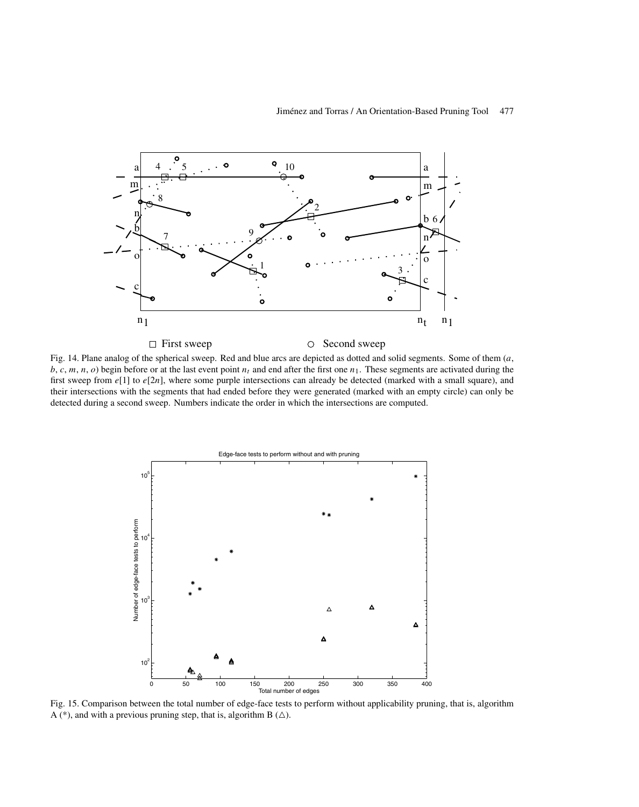

Fig. 14. Plane analog of the spherical sweep. Red and blue arcs are depicted as dotted and solid segments. Some of them  $(a,$ b, c, m, n, o) begin before or at the last event point  $n_t$  and end after the first one  $n_1$ . These segments are activated during the first sweep from  $e[1]$  to  $e[2n]$ , where some purple intersections can already be detected (marked with a small square), and their intersections with the segments that had ended before they were generated (marked with an empty circle) can only be detected during a second sweep. Numbers indicate the order in which the intersections are computed.



Fig. 15. Comparison between the total number of edge-face tests to perform without applicability pruning, that is, algorithm A (\*), and with a previous pruning step, that is, algorithm B  $(\triangle)$ .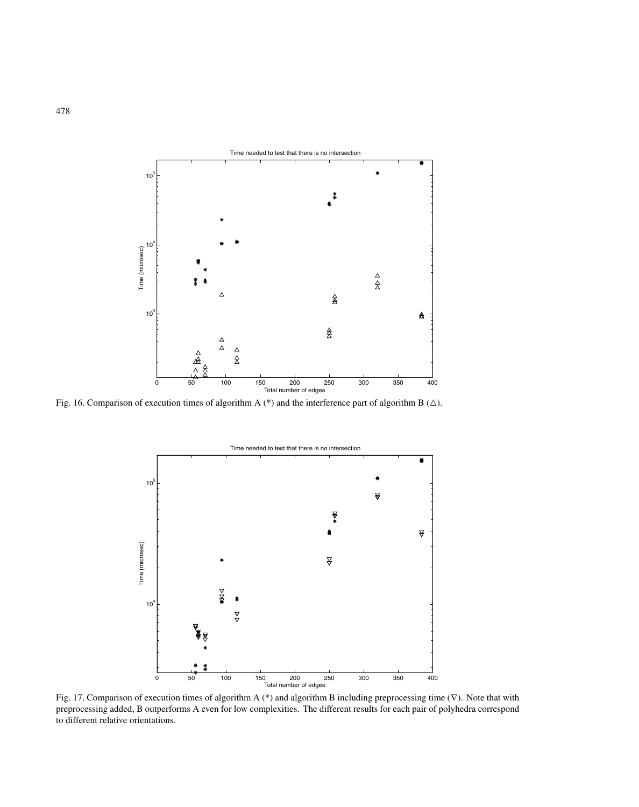

Fig. 16. Comparison of execution times of algorithm A (\*) and the interference part of algorithm B  $(\triangle)$ .



Fig. 17. Comparison of execution times of algorithm A (\*) and algorithm B including preprocessing time (∇). Note that with preprocessing added, B outperforms A even for low complexities. The different results for each pair of polyhedra correspond to different relative orientations.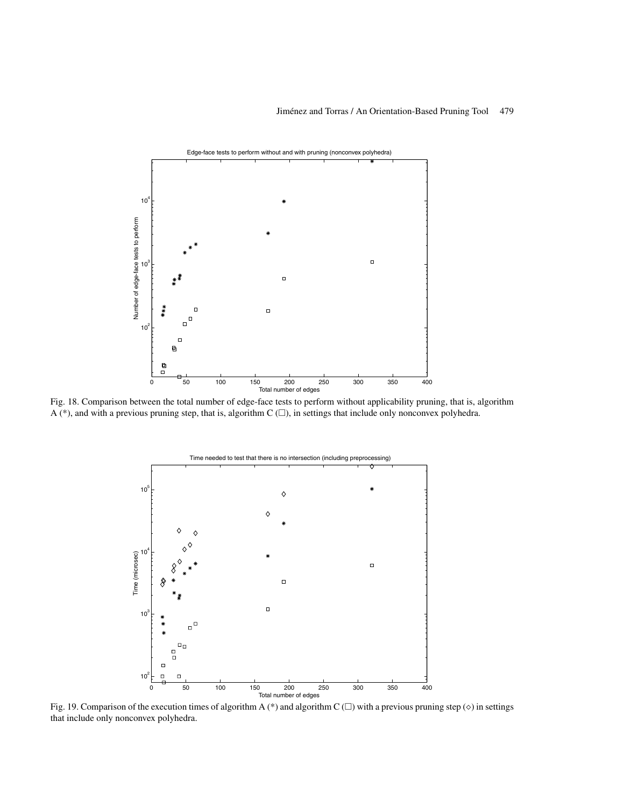

Fig. 18. Comparison between the total number of edge-face tests to perform without applicability pruning, that is, algorithm A (\*), and with a previous pruning step, that is, algorithm C ( $\square$ ), in settings that include only nonconvex polyhedra.



Fig. 19. Comparison of the execution times of algorithm A (\*) and algorithm C ( $\Box$ ) with a previous pruning step ( $\diamond$ ) in settings that include only nonconvex polyhedra.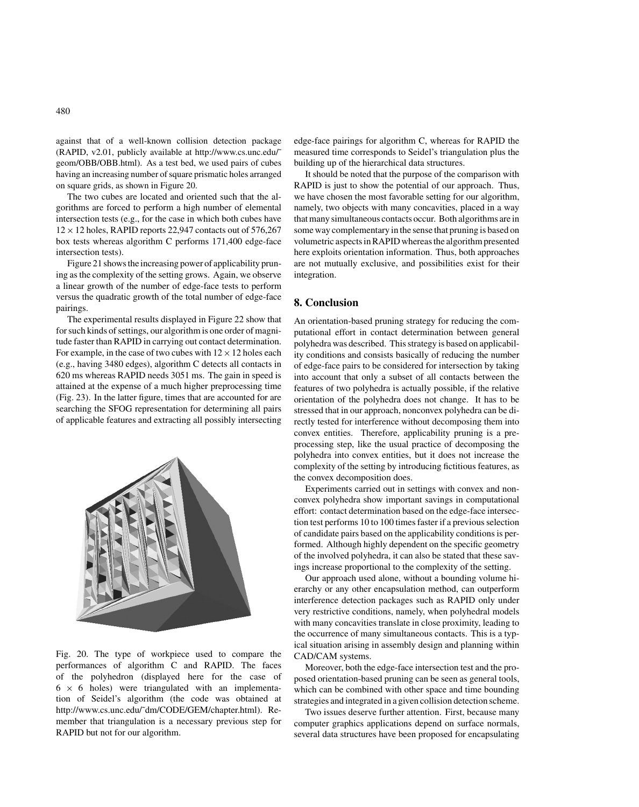against that of a well-known collision detection package (RAPID, v2.01, publicly available at http://www.cs.unc.edu/˜ geom/OBB/OBB.html). As a test bed, we used pairs of cubes having an increasing number of square prismatic holes arranged on square grids, as shown in Figure 20.

The two cubes are located and oriented such that the algorithms are forced to perform a high number of elemental intersection tests (e.g., for the case in which both cubes have  $12 \times 12$  holes, RAPID reports 22,947 contacts out of 576,267 box tests whereas algorithm C performs 171,400 edge-face intersection tests).

Figure 21 shows the increasing power of applicability pruning as the complexity of the setting grows. Again, we observe a linear growth of the number of edge-face tests to perform versus the quadratic growth of the total number of edge-face pairings.

The experimental results displayed in Figure 22 show that for such kinds of settings, our algorithm is one order of magnitude faster than RAPID in carrying out contact determination. For example, in the case of two cubes with  $12 \times 12$  holes each (e.g., having 3480 edges), algorithm C detects all contacts in 620 ms whereas RAPID needs 3051 ms. The gain in speed is attained at the expense of a much higher preprocessing time (Fig. 23). In the latter figure, times that are accounted for are searching the SFOG representation for determining all pairs of applicable features and extracting all possibly intersecting



Fig. 20. The type of workpiece used to compare the performances of algorithm C and RAPID. The faces of the polyhedron (displayed here for the case of  $6 \times 6$  holes) were triangulated with an implementation of Seidel's algorithm (the code was obtained at http://www.cs.unc.edu/˜dm/CODE/GEM/chapter.html). Remember that triangulation is a necessary previous step for RAPID but not for our algorithm.

edge-face pairings for algorithm C, whereas for RAPID the measured time corresponds to Seidel's triangulation plus the building up of the hierarchical data structures.

It should be noted that the purpose of the comparison with RAPID is just to show the potential of our approach. Thus, we have chosen the most favorable setting for our algorithm, namely, two objects with many concavities, placed in a way that many simultaneous contacts occur. Both algorithms are in some way complementary in the sense that pruning is based on volumetric aspects in RAPID whereas the algorithm presented here exploits orientation information. Thus, both approaches are not mutually exclusive, and possibilities exist for their integration.

## **8. Conclusion**

An orientation-based pruning strategy for reducing the computational effort in contact determination between general polyhedra was described. This strategy is based on applicability conditions and consists basically of reducing the number of edge-face pairs to be considered for intersection by taking into account that only a subset of all contacts between the features of two polyhedra is actually possible, if the relative orientation of the polyhedra does not change. It has to be stressed that in our approach, nonconvex polyhedra can be directly tested for interference without decomposing them into convex entities. Therefore, applicability pruning is a preprocessing step, like the usual practice of decomposing the polyhedra into convex entities, but it does not increase the complexity of the setting by introducing fictitious features, as the convex decomposition does.

Experiments carried out in settings with convex and nonconvex polyhedra show important savings in computational effort: contact determination based on the edge-face intersection test performs 10 to 100 times faster if a previous selection of candidate pairs based on the applicability conditions is performed. Although highly dependent on the specific geometry of the involved polyhedra, it can also be stated that these savings increase proportional to the complexity of the setting.

Our approach used alone, without a bounding volume hierarchy or any other encapsulation method, can outperform interference detection packages such as RAPID only under very restrictive conditions, namely, when polyhedral models with many concavities translate in close proximity, leading to the occurrence of many simultaneous contacts. This is a typical situation arising in assembly design and planning within CAD/CAM systems.

Moreover, both the edge-face intersection test and the proposed orientation-based pruning can be seen as general tools, which can be combined with other space and time bounding strategies and integrated in a given collision detection scheme.

Two issues deserve further attention. First, because many computer graphics applications depend on surface normals, several data structures have been proposed for encapsulating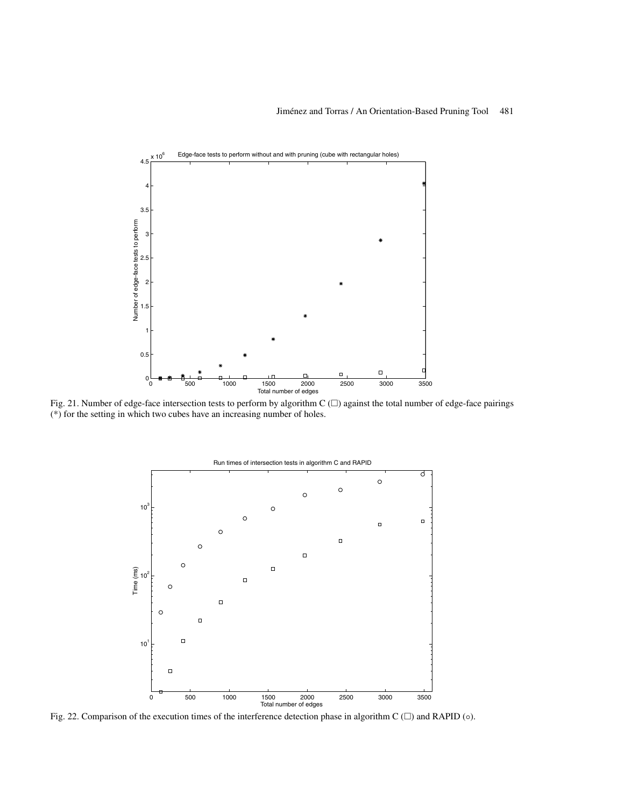

Fig. 21. Number of edge-face intersection tests to perform by algorithm  $C(\Box)$  against the total number of edge-face pairings (\*) for the setting in which two cubes have an increasing number of holes.



Fig. 22. Comparison of the execution times of the interference detection phase in algorithm C  $(\square)$  and RAPID ( $\circ$ ).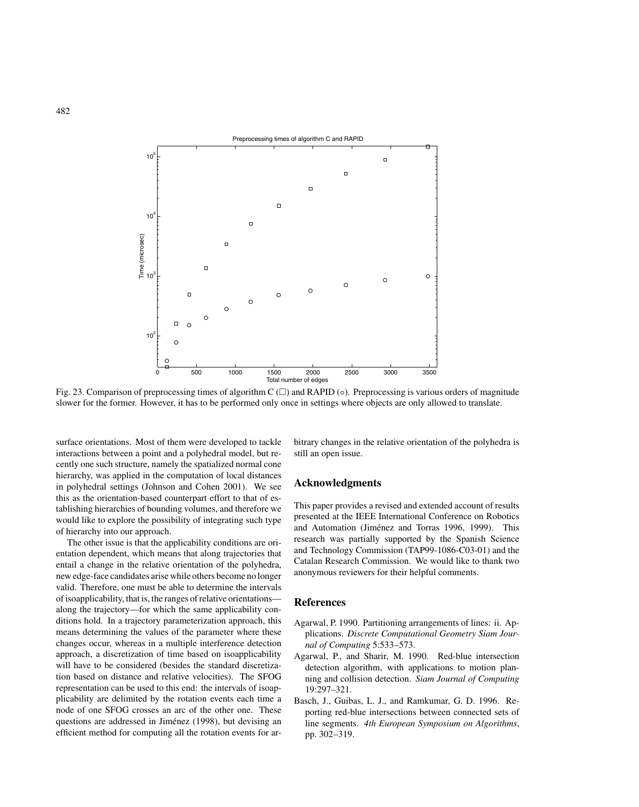

Fig. 23. Comparison of preprocessing times of algorithm  $C(\Box)$  and RAPID ( $\circ$ ). Preprocessing is various orders of magnitude slower for the former. However, it has to be performed only once in settings where objects are only allowed to translate.

surface orientations. Most of them were developed to tackle interactions between a point and a polyhedral model, but recently one such structure, namely the spatialized normal cone hierarchy, was applied in the computation of local distances in polyhedral settings (Johnson and Cohen 2001). We see this as the orientation-based counterpart effort to that of establishing hierarchies of bounding volumes, and therefore we would like to explore the possibility of integrating such type of hierarchy into our approach.

The other issue is that the applicability conditions are orientation dependent, which means that along trajectories that entail a change in the relative orientation of the polyhedra, new edge-face candidates arise while others become no longer valid. Therefore, one must be able to determine the intervals of isoapplicability, that is, the ranges of relative orientations along the trajectory—for which the same applicability conditions hold. In a trajectory parameterization approach, this means determining the values of the parameter where these changes occur, whereas in a multiple interference detection approach, a discretization of time based on isoapplicability will have to be considered (besides the standard discretization based on distance and relative velocities). The SFOG representation can be used to this end: the intervals of isoapplicability are delimited by the rotation events each time a node of one SFOG crosses an arc of the other one. These questions are addressed in Jiménez (1998), but devising an efficient method for computing all the rotation events for arbitrary changes in the relative orientation of the polyhedra is still an open issue.

## **Acknowledgments**

This paper provides a revised and extended account of results presented at the IEEE International Conference on Robotics and Automation (Jiménez and Torras 1996, 1999). This research was partially supported by the Spanish Science and Technology Commission (TAP99-1086-C03-01) and the Catalan Research Commission. We would like to thank two anonymous reviewers for their helpful comments.

#### **References**

- Agarwal, P. 1990. Partitioning arrangements of lines: ii. Applications. *Discrete Computational Geometry Siam Journal of Computing* 5:533–573.
- Agarwal, P., and Sharir, M. 1990. Red-blue intersection detection algorithm, with applications to motion planning and collision detection. *Siam Journal of Computing* 19:297–321.
- Basch, J., Guibas, L. J., and Ramkumar, G. D. 1996. Reporting red-blue intersections between connected sets of line segments. *4th European Symposium on Algorithms*, pp. 302–319.